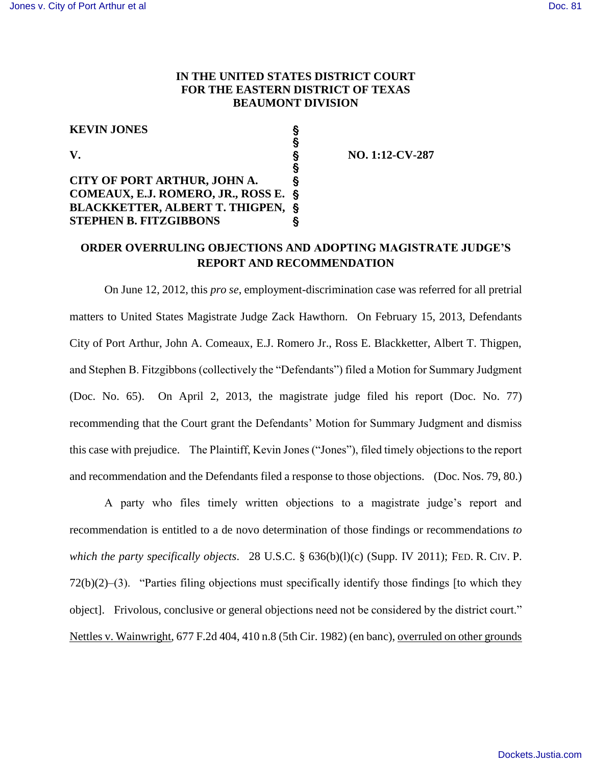## **IN THE UNITED STATES DISTRICT COURT FOR THE EASTERN DISTRICT OF TEXAS BEAUMONT DIVISION**

 $\overline{\S}$ 

## **KEVIN JONES** '

## $\overline{\mathbf{S}}$ **CITY OF PORT ARTHUR, JOHN A.** ' **COMEAUX, E.J. ROMERO, JR., ROSS E.** ' **BLACKKETTER, ALBERT T. THIGPEN,** ' **STEPHEN B. FITZGIBBONS** '

**V.** S NO. 1:12-CV-287

## **ORDER OVERRULING OBJECTIONS AND ADOPTING MAGISTRATE JUDGE'S REPORT AND RECOMMENDATION**

On June 12, 2012, this *pro se*, employment-discrimination case was referred for all pretrial matters to United States Magistrate Judge Zack Hawthorn. On February 15, 2013, Defendants City of Port Arthur, John A. Comeaux, E.J. Romero Jr., Ross E. Blackketter, Albert T. Thigpen, and Stephen B. Fitzgibbons (collectively the "Defendants") filed a Motion for Summary Judgment (Doc. No. 65). On April 2, 2013, the magistrate judge filed his report (Doc. No. 77) recommending that the Court grant the Defendants' Motion for Summary Judgment and dismiss this case with prejudice. The Plaintiff, Kevin Jones ("Jones"), filed timely objections to the report and recommendation and the Defendants filed a response to those objections. (Doc. Nos. 79, 80.)

A party who files timely written objections to a magistrate judge's report and recommendation is entitled to a de novo determination of those findings or recommendations *to which the party specifically objects*. 28 U.S.C. § 636(b)(l)(c) (Supp. IV 2011); FED. R. CIV. P. 72(b)(2)–(3). "Parties filing objections must specifically identify those findings [to which they object]. Frivolous, conclusive or general objections need not be considered by the district court." Nettles v. Wainwright, 677 F.2d 404, 410 n.8 (5th Cir. 1982) (en banc), overruled on other grounds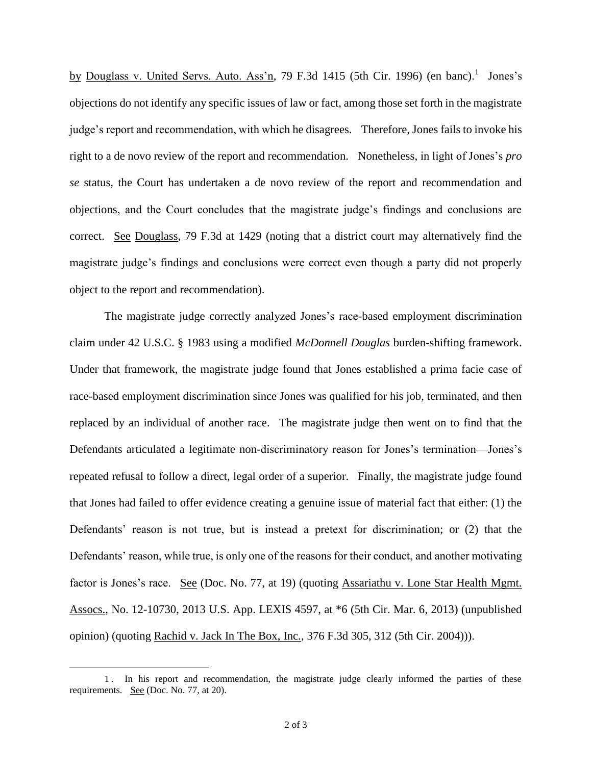by Douglass v. United Servs. Auto. Ass'n, 79 F.3d 1415 (5th Cir. 1996) (en banc).<sup>1</sup> Jones's objections do not identify any specific issues of law or fact, among those set forth in the magistrate judge's report and recommendation, with which he disagrees. Therefore, Jones fails to invoke his right to a de novo review of the report and recommendation. Nonetheless, in light of Jones's *pro se* status, the Court has undertaken a de novo review of the report and recommendation and objections, and the Court concludes that the magistrate judge's findings and conclusions are correct. See Douglass, 79 F.3d at 1429 (noting that a district court may alternatively find the magistrate judge's findings and conclusions were correct even though a party did not properly object to the report and recommendation).

The magistrate judge correctly analyzed Jones's race-based employment discrimination claim under 42 U.S.C. § 1983 using a modified *McDonnell Douglas* burden-shifting framework. Under that framework, the magistrate judge found that Jones established a prima facie case of race-based employment discrimination since Jones was qualified for his job, terminated, and then replaced by an individual of another race. The magistrate judge then went on to find that the Defendants articulated a legitimate non-discriminatory reason for Jones's termination—Jones's repeated refusal to follow a direct, legal order of a superior. Finally, the magistrate judge found that Jones had failed to offer evidence creating a genuine issue of material fact that either: (1) the Defendants' reason is not true, but is instead a pretext for discrimination; or (2) that the Defendants' reason, while true, is only one of the reasons for their conduct, and another motivating factor is Jones's race. See (Doc. No. 77, at 19) (quoting Assariathu v. Lone Star Health Mgmt. Assocs., No. 12-10730, 2013 U.S. App. LEXIS 4597, at \*6 (5th Cir. Mar. 6, 2013) (unpublished opinion) (quoting Rachid v. Jack In The Box, Inc., 376 F.3d 305, 312 (5th Cir. 2004))).

 $\overline{a}$ 

<sup>1</sup> . In his report and recommendation, the magistrate judge clearly informed the parties of these requirements. See (Doc. No. 77, at 20).